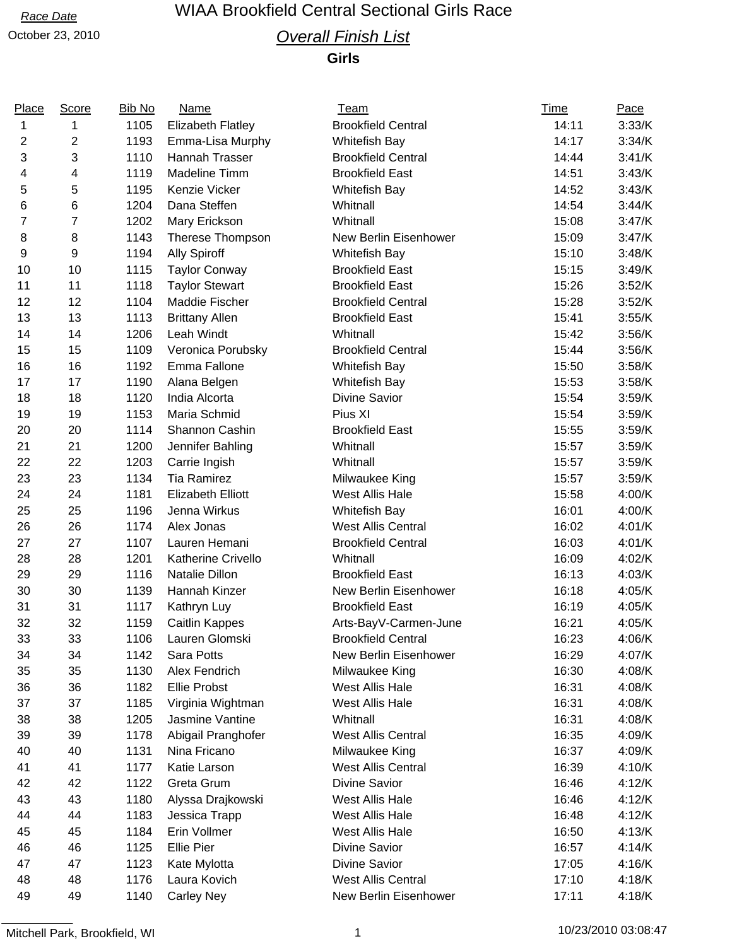## *Race Date* WIAA Brookfield Central Sectional Girls Race

## October 23, 2010 *Overall Finish List*

**Girls**

| Place          | <b>Score</b>   | <b>Bib No</b> | <b>Name</b>              | <b>Team</b>               | <u>Time</u> | Pace   |
|----------------|----------------|---------------|--------------------------|---------------------------|-------------|--------|
| 1              | 1              | 1105          | <b>Elizabeth Flatley</b> | <b>Brookfield Central</b> | 14:11       | 3:33/K |
| 2              | 2              | 1193          | Emma-Lisa Murphy         | Whitefish Bay             | 14:17       | 3:34/K |
| 3              | 3              | 1110          | Hannah Trasser           | <b>Brookfield Central</b> | 14:44       | 3:41/K |
| 4              | 4              | 1119          | Madeline Timm            | <b>Brookfield East</b>    | 14:51       | 3:43/K |
| 5              | 5              | 1195          | Kenzie Vicker            | Whitefish Bay             | 14:52       | 3:43/K |
| 6              | 6              | 1204          | Dana Steffen             | Whitnall                  | 14:54       | 3:44/K |
| $\overline{7}$ | $\overline{7}$ | 1202          | Mary Erickson            | Whitnall                  | 15:08       | 3:47/K |
| 8              | 8              | 1143          | Therese Thompson         | New Berlin Eisenhower     | 15:09       | 3:47/K |
| 9              | 9              | 1194          | <b>Ally Spiroff</b>      | <b>Whitefish Bay</b>      | 15:10       | 3:48/K |
| 10             | 10             | 1115          | <b>Taylor Conway</b>     | <b>Brookfield East</b>    | 15:15       | 3:49/K |
| 11             | 11             | 1118          | <b>Taylor Stewart</b>    | <b>Brookfield East</b>    | 15:26       | 3:52/K |
| 12             | 12             | 1104          | Maddie Fischer           | <b>Brookfield Central</b> | 15:28       | 3:52/K |
| 13             | 13             | 1113          | <b>Brittany Allen</b>    | <b>Brookfield East</b>    | 15:41       | 3:55/K |
| 14             | 14             | 1206          | Leah Windt               | Whitnall                  | 15:42       | 3:56/K |
| 15             | 15             | 1109          | Veronica Porubsky        | <b>Brookfield Central</b> | 15:44       | 3:56/K |
| 16             | 16             | 1192          | Emma Fallone             | Whitefish Bay             | 15:50       | 3:58/K |
| 17             | 17             | 1190          | Alana Belgen             | Whitefish Bay             | 15:53       | 3:58/K |
| 18             | 18             | 1120          | India Alcorta            | <b>Divine Savior</b>      | 15:54       | 3:59/K |
| 19             | 19             | 1153          | Maria Schmid             | Pius XI                   | 15:54       | 3:59/K |
| 20             | 20             | 1114          | Shannon Cashin           | <b>Brookfield East</b>    | 15:55       | 3:59/K |
| 21             | 21             | 1200          | Jennifer Bahling         | Whitnall                  | 15:57       | 3:59/K |
| 22             | 22             | 1203          | Carrie Ingish            | Whitnall                  | 15:57       | 3:59/K |
| 23             | 23             | 1134          | <b>Tia Ramirez</b>       | Milwaukee King            | 15:57       | 3:59/K |
| 24             | 24             | 1181          | <b>Elizabeth Elliott</b> | West Allis Hale           | 15:58       | 4:00/K |
| 25             | 25             | 1196          | Jenna Wirkus             | Whitefish Bay             | 16:01       | 4:00/K |
| 26             | 26             | 1174          | Alex Jonas               | <b>West Allis Central</b> | 16:02       | 4:01/K |
| 27             | 27             | 1107          | Lauren Hemani            | <b>Brookfield Central</b> | 16:03       | 4:01/K |
| 28             | 28             | 1201          | Katherine Crivello       | Whitnall                  | 16:09       | 4:02/K |
| 29             | 29             | 1116          | Natalie Dillon           | <b>Brookfield East</b>    | 16:13       | 4:03/K |
| 30             | 30             | 1139          | Hannah Kinzer            | New Berlin Eisenhower     | 16:18       | 4:05/K |
| 31             | 31             | 1117          | Kathryn Luy              | <b>Brookfield East</b>    | 16:19       | 4:05/K |
| 32             | 32             | 1159          | <b>Caitlin Kappes</b>    | Arts-BayV-Carmen-June     | 16:21       | 4:05/K |
| 33             | 33             |               | 1106 Lauren Glomski      | <b>Brookfield Central</b> | 16:23       | 4:06/K |
| 34             | 34             | 1142          | Sara Potts               | New Berlin Eisenhower     | 16:29       | 4:07/K |
| 35             | 35             | 1130          | Alex Fendrich            | Milwaukee King            | 16:30       | 4:08/K |
| 36             | 36             | 1182          | <b>Ellie Probst</b>      | West Allis Hale           | 16:31       | 4:08/K |
| 37             | 37             | 1185          | Virginia Wightman        | West Allis Hale           | 16:31       | 4:08/K |
| 38             | 38             | 1205          | Jasmine Vantine          | Whitnall                  | 16:31       | 4:08/K |
| 39             | 39             | 1178          | Abigail Pranghofer       | <b>West Allis Central</b> | 16:35       | 4:09/K |
| 40             | 40             | 1131          | Nina Fricano             | Milwaukee King            | 16:37       | 4:09/K |
| 41             | 41             | 1177          | Katie Larson             | <b>West Allis Central</b> | 16:39       | 4:10/K |
| 42             | 42             | 1122          | Greta Grum               | <b>Divine Savior</b>      | 16:46       | 4:12/K |
| 43             | 43             | 1180          | Alyssa Drajkowski        | West Allis Hale           | 16:46       | 4:12/K |
| 44             | 44             | 1183          | Jessica Trapp            | West Allis Hale           | 16:48       | 4:12/K |
| 45             | 45             | 1184          | Erin Vollmer             | West Allis Hale           | 16:50       | 4:13/K |
| 46             | 46             | 1125          | Ellie Pier               | <b>Divine Savior</b>      | 16:57       | 4:14/K |
| 47             | 47             | 1123          | Kate Mylotta             | <b>Divine Savior</b>      | 17:05       | 4:16/K |
| 48             | 48             | 1176          | Laura Kovich             | <b>West Allis Central</b> | 17:10       | 4:18/K |
| 49             | 49             | 1140          | <b>Carley Ney</b>        | New Berlin Eisenhower     | 17:11       | 4:18/K |